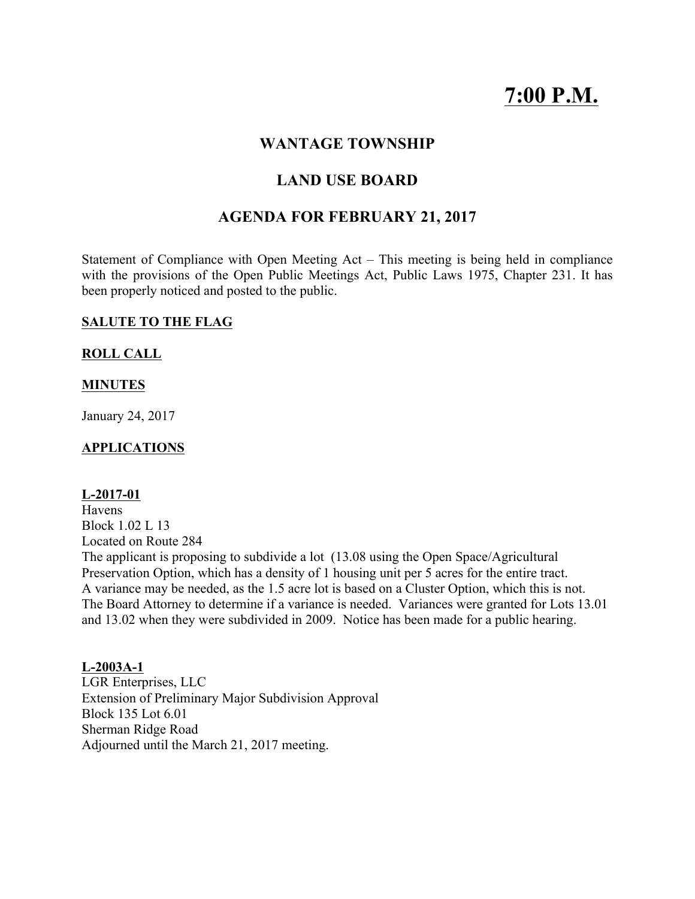# **7:00 P.M.**

# **WANTAGE TOWNSHIP**

# **LAND USE BOARD**

## **AGENDA FOR FEBRUARY 21, 2017**

Statement of Compliance with Open Meeting Act – This meeting is being held in compliance with the provisions of the Open Public Meetings Act, Public Laws 1975, Chapter 231. It has been properly noticed and posted to the public.

## **SALUTE TO THE FLAG**

## **ROLL CALL**

## **MINUTES**

January 24, 2017

## **APPLICATIONS**

### **L-2017-01**

Havens Block 1.02 L 13 Located on Route 284 The applicant is proposing to subdivide a lot (13.08 using the Open Space/Agricultural Preservation Option, which has a density of 1 housing unit per 5 acres for the entire tract. A variance may be needed, as the 1.5 acre lot is based on a Cluster Option, which this is not. The Board Attorney to determine if a variance is needed. Variances were granted for Lots 13.01 and 13.02 when they were subdivided in 2009. Notice has been made for a public hearing.

## **L-2003A-1** LGR Enterprises, LLC Extension of Preliminary Major Subdivision Approval Block 135 Lot 6.01 Sherman Ridge Road

Adjourned until the March 21, 2017 meeting.